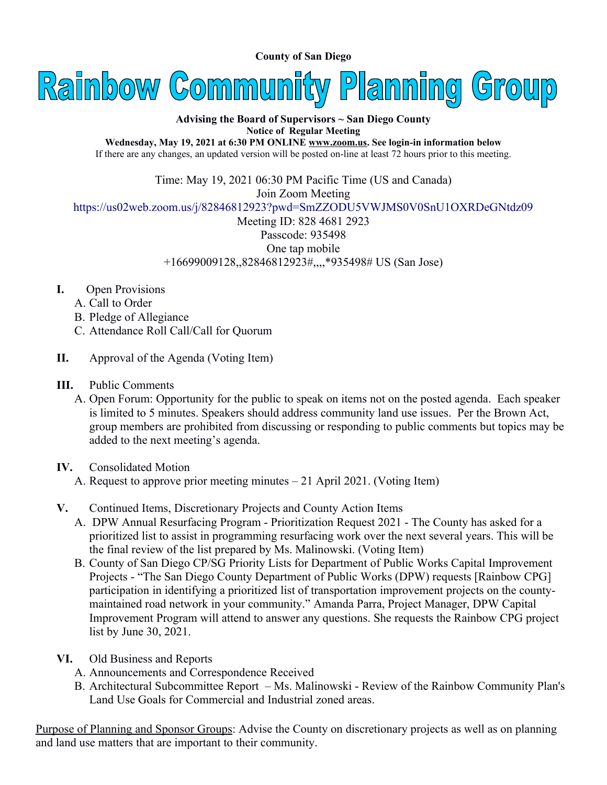**County of San Diego** 



**Advising the Board of Supervisors ~ San Diego County Notice of Regular Meeting**

**Wednesday, May 19, 2021 at 6:30 PM ONLINE [www.zoom.us](http://www.zoom.us/). See login-in information below** If there are any changes, an updated version will be posted on-line at least 72 hours prior to this meeting.

Time: May 19, 2021 06:30 PM Pacific Time (US and Canada)

Join Zoom Meeting

<https://us02web.zoom.us/j/82846812923?pwd=SmZZODU5VWJMS0V0SnU1OXRDeGNtdz09>

Meeting ID: 828 4681 2923 Passcode: 935498 One tap mobile +16699009128,,82846812923#,,,,\*935498# US (San Jose)

- **I.** Open Provisions
	- A. Call to Order
	- B. Pledge of Allegiance
	- C. Attendance Roll Call/Call for Quorum
- **II.** Approval of the Agenda (Voting Item)
- **III.** Public Comments
	- A. Open Forum: Opportunity for the public to speak on items not on the posted agenda. Each speaker is limited to 5 minutes. Speakers should address community land use issues. Per the Brown Act, group members are prohibited from discussing or responding to public comments but topics may be added to the next meeting's agenda.
- **IV.** Consolidated Motion
	- A. Request to approve prior meeting minutes 21 April 2021. (Voting Item)
- **V.** Continued Items, Discretionary Projects and County Action Items
	- A. DPW Annual Resurfacing Program Prioritization Request 2021 The County has asked for a prioritized list to assist in programming resurfacing work over the next several years. This will be the final review of the list prepared by Ms. Malinowski. (Voting Item)
	- B. County of San Diego CP/SG Priority Lists for Department of Public Works Capital Improvement Projects - "The San Diego County Department of Public Works (DPW) requests [Rainbow CPG] participation in identifying a prioritized list of transportation improvement projects on the countymaintained road network in your community." Amanda Parra, Project Manager, DPW Capital Improvement Program will attend to answer any questions. She requests the Rainbow CPG project list by June 30, 2021.
- **VI.** Old Business and Reports
	- A. Announcements and Correspondence Received
	- B. Architectural Subcommittee Report Ms. Malinowski Review of the Rainbow Community Plan's Land Use Goals for Commercial and Industrial zoned areas.

Purpose of Planning and Sponsor Groups: Advise the County on discretionary projects as well as on planning and land use matters that are important to their community.